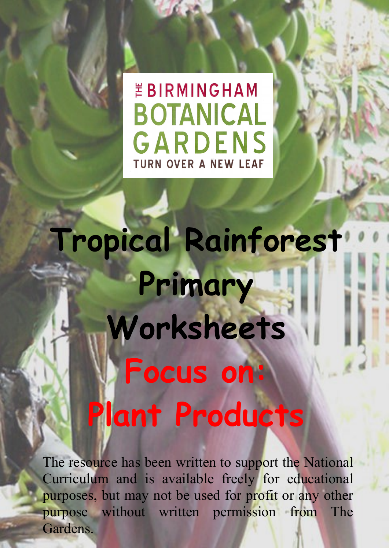## *EBIRMINGHAM* **BOTANICAL** GARDENS **TURN OVER A NEW LEAF**

**Tropical Rainforest Primary Worksheets Focus on: Plant Products**

The resource has been written to support the National Curriculum and is available freely for educational purposes, but may not be used for profit or any other purpose without written permission from The Gardens.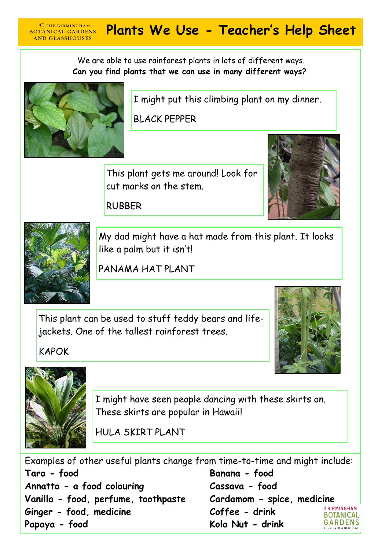## **CTHE BIRMINGHAM** Plants We Use - Teacher's Help Sheet **BOTANICAL GARDENS**

We are able to use rainforest plants in lots of different ways. **Can you find plants that we can use in many different ways?**



**AND GLASSHOUSES** 

I might put this climbing plant on my dinner.

BLACK PEPPER

This plant gets me around! Look for cut marks on the stem.



RUBBER



My dad might have a hat made from this plant. It looks like a palm but it isn't!

PANAMA HAT PLANT

This plant can be used to stuff teddy bears and lifejackets. One of the tallest rainforest trees.





KAPOK

I might have seen people dancing with these skirts on. These skirts are popular in Hawaii!

HULA SKIRT PLANT

Examples of other useful plants change from time-to-time and might include: **Taro - food Banana - food Annatto - a food colouring Cassava - food Vanilla - food, perfume, toothpaste Cardamom - spice, medicine** *ERIRMINGHAM* **Ginger - food, medicine Coffee - drink BOTANICAL Papaya - food Kola Nut - drink GARDENS**